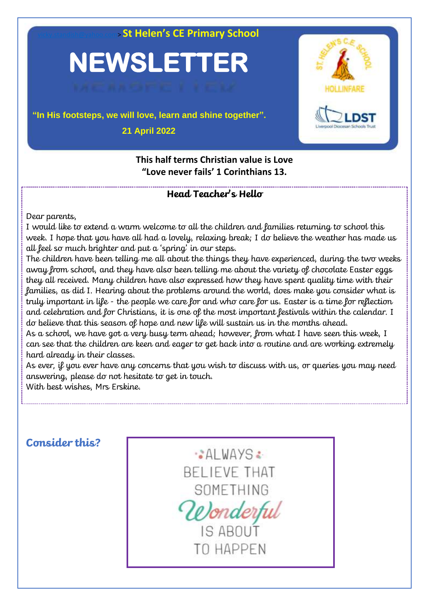**St Helen's CE Primary School** 

# **NEWSLETTER**

# **"In His footsteps, we will love, learn and shine together". 21 April 2022**



**This half terms Christian value is Love "Love never fails' 1 Corinthians 13.**

### **Head Teacher's Hello**

Dear parents,

I would like to extend a warm welcome to all the children and families returning to school this week. I hope that you have all had a lovely, relaxing break; I do believe the weather has made us all feel so much brighter and put a 'spring' in our steps.

The children have been telling me all about the things they have experienced, during the two weeks away from school, and they have also been telling me about the variety of chocolate Easter eggs they all received. Many children have also expressed how they have spent quality time with their families, as did I. Hearing about the problems around the world, does make you consider what is truly important in life - the people we care for and who care for us. Easter is a time for reflection and celebration and for Christians, it is one of the most important festivals within the calendar. I do believe that this season of hope and new life will sustain us in the months ahead.

As a school, we have got a very busy term ahead; however, from what I have seen this week, I can see that the children are keen and eager to get back into a routine and are working extremely hard already in their classes.

As ever, if you ever have any concerns that you wish to discuss with us, or queries you may need answering, please do not hesitate to get in touch.

With best wishes, Mrs Erskine.

# **Consider this?**

AI WAYS: **BELIEVE THAT** SOMETHING Wonderful IS ABOUT

TO HAPPEN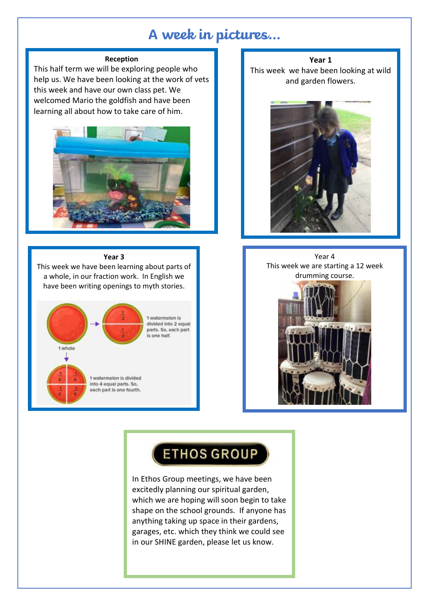# **A week in pictures…**

### **Reception**

This half term we will be exploring people who help us. We have been looking at the work of vets this week and have our own class pet. We welcomed Mario the goldfish and have been learning all about how to take care of him.



#### **Year 3**

This week we have been learning about parts of a whole, in our fraction work. In English we have been writing openings to myth stories.



**Year 1** This week we have been looking at wild and garden flowers.



Year 4 This week we are starting a 12 week drumming course.

# **ETHOS GROUP**

In Ethos Group meetings, we have been excitedly planning our spiritual garden, which we are hoping will soon begin to take shape on the school grounds. If anyone has anything taking up space in their gardens, garages, etc. which they think we could see in our SHINE garden, please let us know.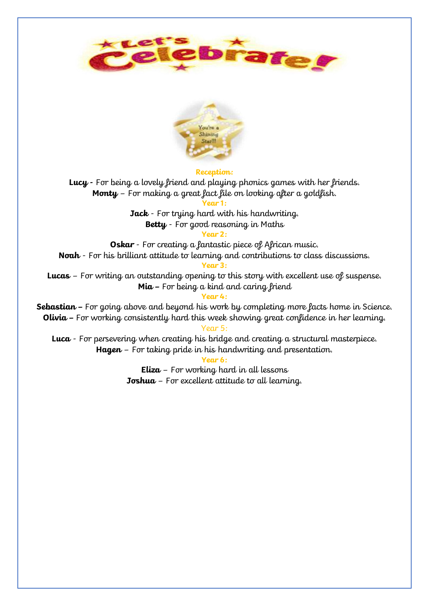



#### **Reception:**

**Lucy -** For being a lovely friend and playing phonics games with her friends. **Monty** – For making a great fact file on looking after a goldfish.

**Year 1:**

**Jack** - For trying hard with his handwriting. **Betty** - For good reasoning in Maths

**Year 2:**

**Oskar** - For creating a fantastic piece of African music.

**Noah** - For his brilliant attitude to learning and contributions to class discussions.

### **Year 3:**

**Lucas** – For writing an outstanding opening to this story with excellent use of suspense. **Mia –** For being a kind and caring friend

**Year 4:**

**Sebastian –** For going above and beyond his work by completing more facts home in Science. **Olivia –** For working consistently hard this week showing great confidence in her learning.

Year 5:

**Luca** - For persevering when creating his bridge and creating a structural masterpiece. **Hagen** – For taking pride in his handwriting and presentation.

**Year 6:**

**Eliza** – For working hard in all lessons **Joshua** – For excellent attitude to all learning.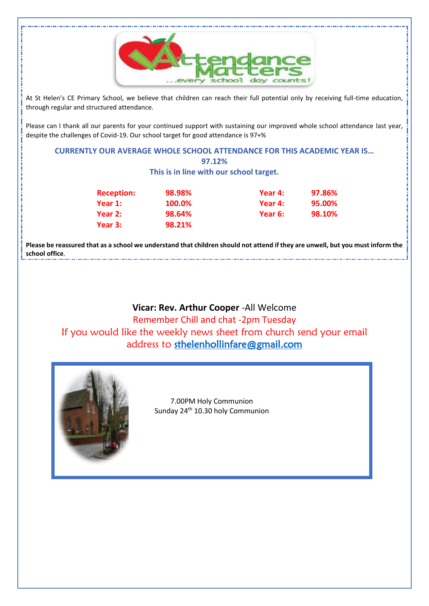

At St Helen's CE Primary School, we believe that children can reach their full potential only by receiving full-time education, through regular and structured attendance.

Please can I thank all our parents for your continued support with sustaining our improved whole school attendance last year, despite the challenges of Covid-19. Our school target for good attendance is 97+%

### **CURRENTLY OUR AVERAGE WHOLE SCHOOL ATTENDANCE FOR THIS ACADEMIC YEAR IS… 97.12%**

**This is in line with our school target.**

|  | <b>Reception:</b> | 98.98%        | Year 4: | 97.86% |
|--|-------------------|---------------|---------|--------|
|  | Year 1:           | <b>100.0%</b> | Year 4: | 95.00% |
|  | Year 2:           | 98.64%        | Year 6: | 98.10% |
|  | Year 3:           | 98.21%        |         |        |

**Please be reassured that as a school we understand that children should not attend if they are unwell, but you must inform the school office**. 

## **Vicar: Rev. Arthur Cooper** -All Welcome

Remember Chill and chat -2pm Tuesday If you would like the weekly news sheet from church send your email address to [sthelenhollinfare@gmail.com](mailto:sthelenhollinfare@gmail.com) 



7.00PM Holy Communion Sunday 24<sup>th</sup> 10.30 holy Communion